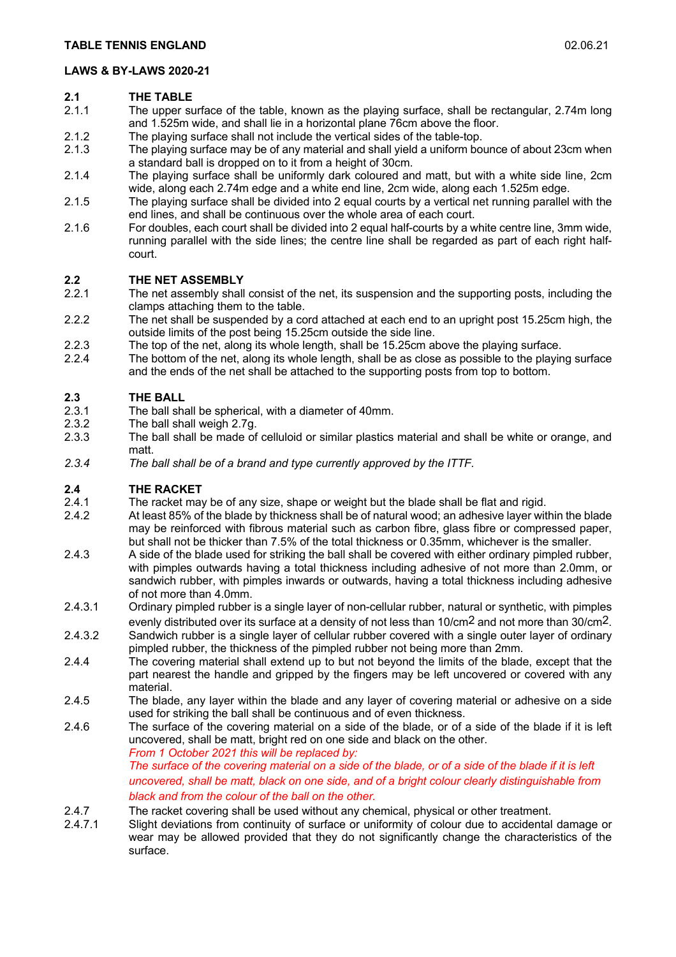## **2.1 THE TABLE**

- The upper surface of the table, known as the playing surface, shall be rectangular, 2.74m long and 1.525m wide, and shall lie in a horizontal plane 76cm above the floor.
- 2.1.2 The playing surface shall not include the vertical sides of the table-top.
- 2.1.3 The playing surface may be of any material and shall yield a uniform bounce of about 23cm when a standard ball is dropped on to it from a height of 30cm.
- 2.1.4 The playing surface shall be uniformly dark coloured and matt, but with a white side line, 2cm wide, along each 2.74m edge and a white end line, 2cm wide, along each 1.525m edge.
- 2.1.5 The playing surface shall be divided into 2 equal courts by a vertical net running parallel with the end lines, and shall be continuous over the whole area of each court.
- 2.1.6 For doubles, each court shall be divided into 2 equal half-courts by a white centre line, 3mm wide, running parallel with the side lines; the centre line shall be regarded as part of each right halfcourt.

## **2.2 THE NET ASSEMBLY**<br>2.2.1 The net assembly shall

- The net assembly shall consist of the net, its suspension and the supporting posts, including the clamps attaching them to the table.
- 2.2.2 The net shall be suspended by a cord attached at each end to an upright post 15.25cm high, the outside limits of the post being 15.25cm outside the side line.
- 2.2.3 The top of the net, along its whole length, shall be 15.25cm above the playing surface.
- 2.2.4 The bottom of the net, along its whole length, shall be as close as possible to the playing surface and the ends of the net shall be attached to the supporting posts from top to bottom.

#### **2.3 THE BALL**

- 2.3.1 The ball shall be spherical, with a diameter of 40mm.
- 2.3.2 The ball shall weigh 2.7g.
- 2.3.3 The ball shall be made of celluloid or similar plastics material and shall be white or orange, and matt.
- *2.3.4 The ball shall be of a brand and type currently approved by the ITTF.*

### **2.4 THE RACKET**

- 2.4.1 The racket may be of any size, shape or weight but the blade shall be flat and rigid.<br>2.4.2 At least 85% of the blade by thickness shall be of natural wood: an adhesive layer wit
- At least 85% of the blade by thickness shall be of natural wood; an adhesive layer within the blade may be reinforced with fibrous material such as carbon fibre, glass fibre or compressed paper, but shall not be thicker than 7.5% of the total thickness or 0.35mm, whichever is the smaller.
- 2.4.3 A side of the blade used for striking the ball shall be covered with either ordinary pimpled rubber, with pimples outwards having a total thickness including adhesive of not more than 2.0mm, or sandwich rubber, with pimples inwards or outwards, having a total thickness including adhesive of not more than 4.0mm.
- 2.4.3.1 Ordinary pimpled rubber is a single layer of non-cellular rubber, natural or synthetic, with pimples evenly distributed over its surface at a density of not less than 10/cm2 and not more than 30/cm2.
- 2.4.3.2 Sandwich rubber is a single layer of cellular rubber covered with a single outer layer of ordinary pimpled rubber, the thickness of the pimpled rubber not being more than 2mm.
- 2.4.4 The covering material shall extend up to but not beyond the limits of the blade, except that the part nearest the handle and gripped by the fingers may be left uncovered or covered with any material.
- 2.4.5 The blade, any layer within the blade and any layer of covering material or adhesive on a side used for striking the ball shall be continuous and of even thickness.
- 2.4.6 The surface of the covering material on a side of the blade, or of a side of the blade if it is left uncovered, shall be matt, bright red on one side and black on the other. *From 1 October 2021 this will be replaced by:*

*The surface of the covering material on a side of the blade, or of a side of the blade if it is left uncovered, shall be matt, black on one side, and of a bright colour clearly distinguishable from black and from the colour of the ball on the other.* 

- 2.4.7 The racket covering shall be used without any chemical, physical or other treatment.
- 2.4.7.1 Slight deviations from continuity of surface or uniformity of colour due to accidental damage or wear may be allowed provided that they do not significantly change the characteristics of the surface.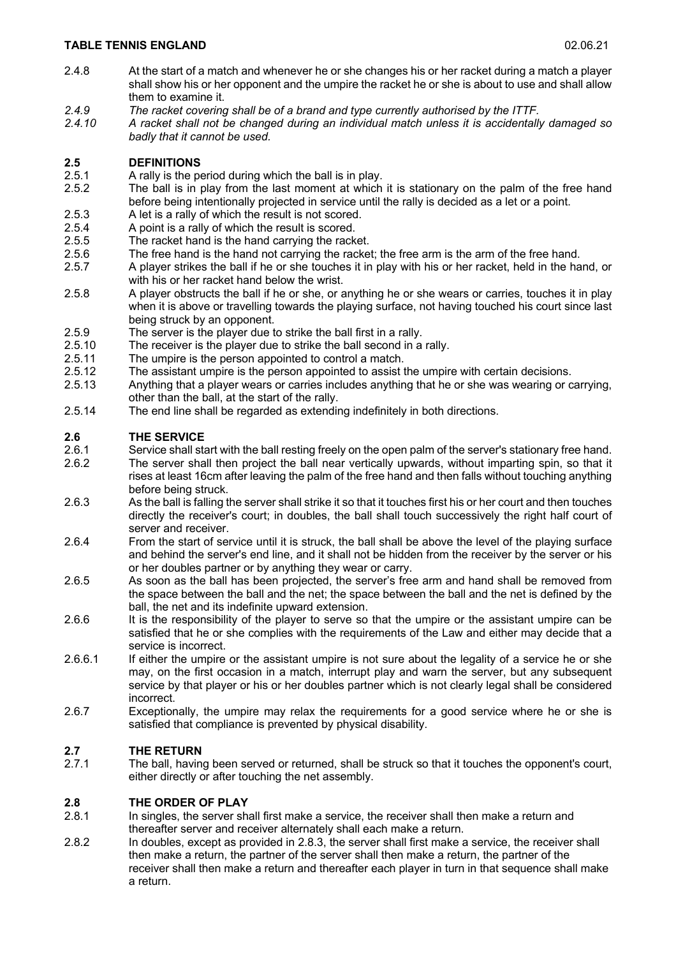- 2.4.8 At the start of a match and whenever he or she changes his or her racket during a match a player shall show his or her opponent and the umpire the racket he or she is about to use and shall allow them to examine it.
- *2.4.9 The racket covering shall be of a brand and type currently authorised by the ITTF.*
- *2.4.10 A racket shall not be changed during an individual match unless it is accidentally damaged so badly that it cannot be used.*

## **2.5 DEFINITIONS**

- 2.5.1 A rally is the period during which the ball is in play.
- 2.5.2 The ball is in play from the last moment at which it is stationary on the palm of the free hand before being intentionally projected in service until the rally is decided as a let or a point.
- 2.5.3 A let is a rally of which the result is not scored.
- 2.5.4 A point is a rally of which the result is scored.
- 2.5.5 The racket hand is the hand carrying the racket.
- 2.5.6 The free hand is the hand not carrying the racket; the free arm is the arm of the free hand.
- 2.5.7 A player strikes the ball if he or she touches it in play with his or her racket, held in the hand, or with his or her racket hand below the wrist.
- 2.5.8 A player obstructs the ball if he or she, or anything he or she wears or carries, touches it in play when it is above or travelling towards the playing surface, not having touched his court since last being struck by an opponent.
- 2.5.9 The server is the player due to strike the ball first in a rally.
- 2.5.10 The receiver is the player due to strike the ball second in a rally.
- 2.5.11 The umpire is the person appointed to control a match.
- 2.5.12 The assistant umpire is the person appointed to assist the umpire with certain decisions.
- 2.5.13 Anything that a player wears or carries includes anything that he or she was wearing or carrying, other than the ball, at the start of the rally.
- 2.5.14 The end line shall be regarded as extending indefinitely in both directions.

### **2.6 THE SERVICE**

- 2.6.1 Service shall start with the ball resting freely on the open palm of the server's stationary free hand. 2.6.2 The server shall then project the ball near vertically upwards, without imparting spin, so that it rises at least 16cm after leaving the palm of the free hand and then falls without touching anything before being struck.
- 2.6.3 As the ball is falling the server shall strike it so that it touches first his or her court and then touches directly the receiver's court; in doubles, the ball shall touch successively the right half court of server and receiver.
- 2.6.4 From the start of service until it is struck, the ball shall be above the level of the playing surface and behind the server's end line, and it shall not be hidden from the receiver by the server or his or her doubles partner or by anything they wear or carry.
- 2.6.5 As soon as the ball has been projected, the server's free arm and hand shall be removed from the space between the ball and the net; the space between the ball and the net is defined by the ball, the net and its indefinite upward extension.
- 2.6.6 It is the responsibility of the player to serve so that the umpire or the assistant umpire can be satisfied that he or she complies with the requirements of the Law and either may decide that a service is incorrect.
- 2.6.6.1 If either the umpire or the assistant umpire is not sure about the legality of a service he or she may, on the first occasion in a match, interrupt play and warn the server, but any subsequent service by that player or his or her doubles partner which is not clearly legal shall be considered incorrect.
- 2.6.7 Exceptionally, the umpire may relax the requirements for a good service where he or she is satisfied that compliance is prevented by physical disability.

# **2.7 THE RETURN**

The ball, having been served or returned, shall be struck so that it touches the opponent's court, either directly or after touching the net assembly.

### **2.8 THE ORDER OF PLAY**

- 2.8.1 In singles, the server shall first make a service, the receiver shall then make a return and thereafter server and receiver alternately shall each make a return.
- 2.8.2 In doubles, except as provided in 2.8.3, the server shall first make a service, the receiver shall then make a return, the partner of the server shall then make a return, the partner of the receiver shall then make a return and thereafter each player in turn in that sequence shall make a return.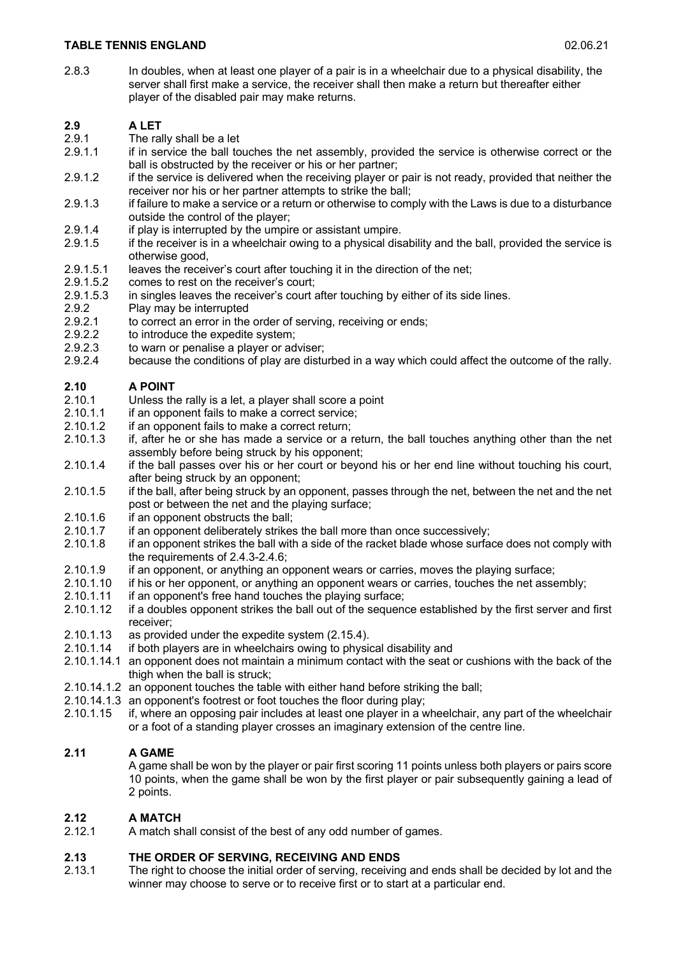2.8.3 In doubles, when at least one player of a pair is in a wheelchair due to a physical disability, the server shall first make a service, the receiver shall then make a return but thereafter either player of the disabled pair may make returns.

## **2.9 A LET**

- 2.9.1 The rally shall be a let
- 2.9.1.1 if in service the ball touches the net assembly, provided the service is otherwise correct or the ball is obstructed by the receiver or his or her partner;
- 2.9.1.2 if the service is delivered when the receiving player or pair is not ready, provided that neither the receiver nor his or her partner attempts to strike the ball;
- 2.9.1.3 if failure to make a service or a return or otherwise to comply with the Laws is due to a disturbance outside the control of the player;
- 2.9.1.4 if play is interrupted by the umpire or assistant umpire.<br>2.9.1.5 if the receiver is in a wheelchair owing to a physical dis-
- If the receiver is in a wheelchair owing to a physical disability and the ball, provided the service is otherwise good,
- 2.9.1.5.1 leaves the receiver's court after touching it in the direction of the net;<br>2.9.1.5.2 comes to rest on the receiver's court:
- 2.9.1.5.2 comes to rest on the receiver's court;<br>2.9.1.5.3 in singles leaves the receiver's court a
- in singles leaves the receiver's court after touching by either of its side lines.
- 2.9.2 Play may be interrupted
- 2.9.2.1 to correct an error in the order of serving, receiving or ends;
- 2.9.2.2 to introduce the expedite system;
- 2.9.2.3 to warn or penalise a player or adviser;
- 2.9.2.4 because the conditions of play are disturbed in a way which could affect the outcome of the rally.

## **2.10 A POINT**

- 2.10.1 Unless the rally is a let, a player shall score a point
- 2.10.1.1 if an opponent fails to make a correct service;
- 2.10.1.2 if an opponent fails to make a correct return;
- 2.10.1.3 if, after he or she has made a service or a return, the ball touches anything other than the net assembly before being struck by his opponent;
- 2.10.1.4 if the ball passes over his or her court or beyond his or her end line without touching his court, after being struck by an opponent;
- 2.10.1.5 if the ball, after being struck by an opponent, passes through the net, between the net and the net post or between the net and the playing surface;
- 2.10.1.6 if an opponent obstructs the ball;<br>2.10.1.7 if an opponent deliberately strikes
- if an opponent deliberately strikes the ball more than once successively;
- 2.10.1.8 if an opponent strikes the ball with a side of the racket blade whose surface does not comply with the requirements of 2.4.3-2.4.6;
- 2.10.1.9 if an opponent, or anything an opponent wears or carries, moves the playing surface;
- 2.10.1.10 if his or her opponent, or anything an opponent wears or carries, touches the net assembly;
- 2.10.1.11 if an opponent's free hand touches the playing surface;
- 2.10.1.12 if a doubles opponent strikes the ball out of the sequence established by the first server and first receiver;
- 2.10.1.13 as provided under the expedite system (2.15.4).
- 2.10.1.14 if both players are in wheelchairs owing to physical disability and
- 2.10.1.14.1 an opponent does not maintain a minimum contact with the seat or cushions with the back of the thigh when the ball is struck;
- 2.10.14.1.2 an opponent touches the table with either hand before striking the ball;
- 2.10.14.1.3 an opponent's footrest or foot touches the floor during play;
- 2.10.1.15 if, where an opposing pair includes at least one player in a wheelchair, any part of the wheelchair or a foot of a standing player crosses an imaginary extension of the centre line.

### **2.11 A GAME**

A game shall be won by the player or pair first scoring 11 points unless both players or pairs score 10 points, when the game shall be won by the first player or pair subsequently gaining a lead of 2 points.

## **2.12 A MATCH 2.12 A match sh**

A match shall consist of the best of any odd number of games.

### **2.13 THE ORDER OF SERVING, RECEIVING AND ENDS**

2.13.1 The right to choose the initial order of serving, receiving and ends shall be decided by lot and the winner may choose to serve or to receive first or to start at a particular end.